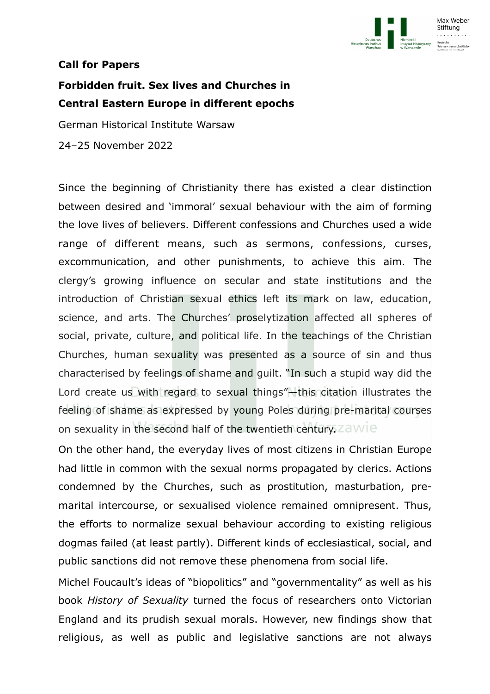

## **Call for Papers**

## **Forbidden fruit. Sex lives and Churches in Central Eastern Europe in different epochs**

German Historical Institute Warsaw

24–25 November 2022

Since the beginning of Christianity there has existed a clear distinction between desired and 'immoral' sexual behaviour with the aim of forming the love lives of believers. Different confessions and Churches used a wide range of different means, such as sermons, confessions, curses, excommunication, and other punishments, to achieve this aim. The clergy's growing influence on secular and state institutions and the introduction of Christian sexual ethics left its mark on law, education, science, and arts. The Churches' proselytization affected all spheres of social, private, culture, and political life. In the teachings of the Christian Churches, human sexuality was presented as a source of sin and thus characterised by feelings of shame and guilt. "In such a stupid way did the Lord create us with regard to sexual things"—this citation illustrates the feeling of shame as expressed by young Poles during pre-marital courses on sexuality in the second half of the twentieth century. Za WIE

On the other hand, the everyday lives of most citizens in Christian Europe had little in common with the sexual norms propagated by clerics. Actions condemned by the Churches, such as prostitution, masturbation, premarital intercourse, or sexualised violence remained omnipresent. Thus, the efforts to normalize sexual behaviour according to existing religious dogmas failed (at least partly). Different kinds of ecclesiastical, social, and public sanctions did not remove these phenomena from social life.

Michel Foucault's ideas of "biopolitics" and "governmentality" as well as his book *History of Sexuality* turned the focus of researchers onto Victorian England and its prudish sexual morals. However, new findings show that religious, as well as public and legislative sanctions are not always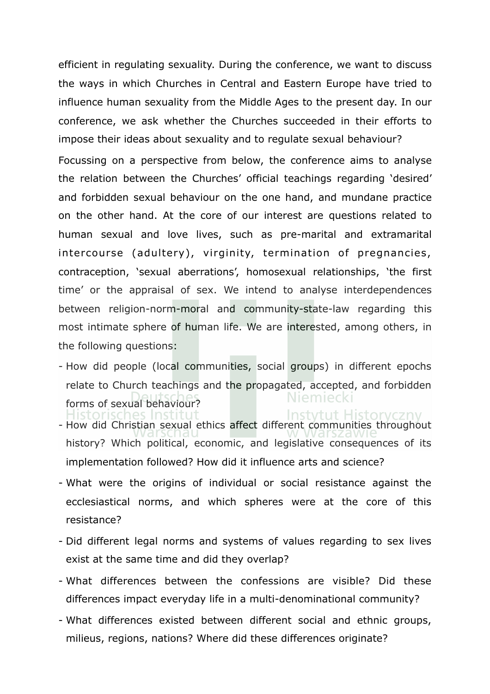efficient in regulating sexuality. During the conference, we want to discuss the ways in which Churches in Central and Eastern Europe have tried to influence human sexuality from the Middle Ages to the present day. In our conference, we ask whether the Churches succeeded in their efforts to impose their ideas about sexuality and to regulate sexual behaviour?

Focussing on a perspective from below, the conference aims to analyse the relation between the Churches' official teachings regarding 'desired' and forbidden sexual behaviour on the one hand, and mundane practice on the other hand. At the core of our interest are questions related to human sexual and love lives, such as pre-marital and extramarital intercourse (adultery), virginity, termination of pregnancies, contraception, 'sexual aberrations', homosexual relationships, 'the first time' or the appraisal of sex. We intend to analyse interdependences between religion-norm-moral and community-state-law regarding this most intimate sphere of human life. We are interested, among others, in the following questions:

- How did people (local communities, social groups) in different epochs relate to Church teachings and the propagated, accepted, and forbidden Niemiecki forms of sexual behaviour? storisches Inst Instytut Historyczny
- How did Christian sexual ethics affect different communities throughout history? Which political, economic, and legislative consequences of its implementation followed? How did it influence arts and science?
- What were the origins of individual or social resistance against the ecclesiastical norms, and which spheres were at the core of this resistance?
- Did different legal norms and systems of values regarding to sex lives exist at the same time and did they overlap?
- What differences between the confessions are visible? Did these differences impact everyday life in a multi-denominational community?
- What differences existed between different social and ethnic groups, milieus, regions, nations? Where did these differences originate?